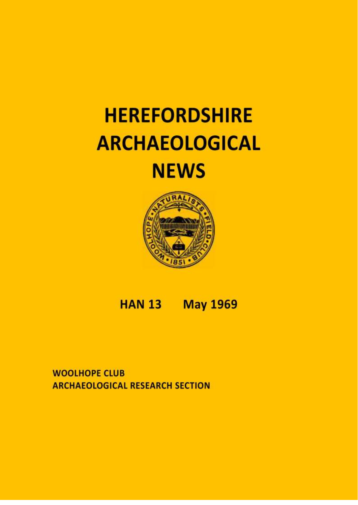# **HEREFORDSHIRE ARCHAEOLOGICAL NEWS**



## HAN 13 May 1969

**WOOLHOPE CLUB ARCHAEOLOGICAL RESEARCH SECTION**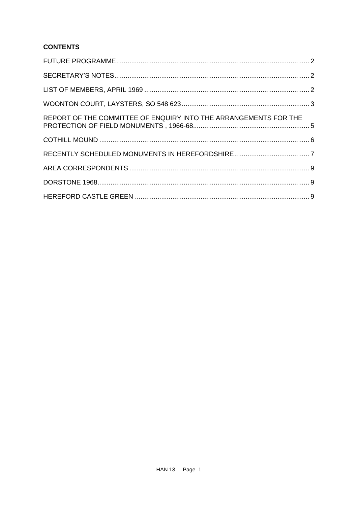## **CONTENTS**

| REPORT OF THE COMMITTEE OF ENQUIRY INTO THE ARRANGEMENTS FOR THE |  |
|------------------------------------------------------------------|--|
|                                                                  |  |
|                                                                  |  |
|                                                                  |  |
|                                                                  |  |
|                                                                  |  |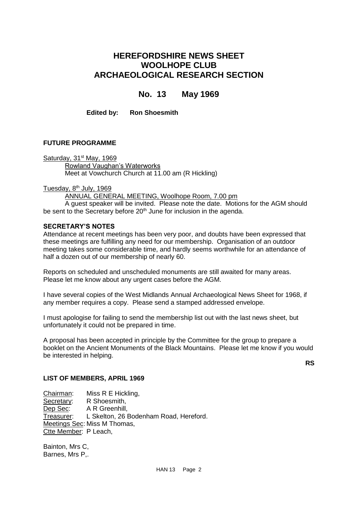## **HEREFORDSHIRE NEWS SHEET WOOLHOPE CLUB ARCHAEOLOGICAL RESEARCH SECTION**

## **No. 13 May 1969**

**Edited by: Ron Shoesmith**

## <span id="page-2-0"></span>**FUTURE PROGRAMME**

Saturday, 31<sup>st</sup> May, 1969 Rowland Vaughan's Waterworks Meet at Vowchurch Church at 11.00 am (R Hickling)

Tuesday, 8<sup>th</sup> July, 1969

ANNUAL GENERAL MEETING, Woolhope Room, 7.00 pm

A guest speaker will be invited. Please note the date. Motions for the AGM should be sent to the Secretary before 20<sup>th</sup> June for inclusion in the agenda.

## <span id="page-2-1"></span>**SECRETARY'S NOTES**

Attendance at recent meetings has been very poor, and doubts have been expressed that these meetings are fulfilling any need for our membership. Organisation of an outdoor meeting takes some considerable time, and hardly seems worthwhile for an attendance of half a dozen out of our membership of nearly 60.

Reports on scheduled and unscheduled monuments are still awaited for many areas. Please let me know about any urgent cases before the AGM.

I have several copies of the West Midlands Annual Archaeological News Sheet for 1968, if any member requires a copy. Please send a stamped addressed envelope.

I must apologise for failing to send the membership list out with the last news sheet, but unfortunately it could not be prepared in time.

A proposal has been accepted in principle by the Committee for the group to prepare a booklet on the Ancient Monuments of the Black Mountains. Please let me know if you would be interested in helping.

**RS**

#### <span id="page-2-2"></span>**LIST OF MEMBERS, APRIL 1969**

Chairman: Miss R E Hickling, Secretary: R Shoesmith, Dep Sec: A R Greenhill, Treasurer: L Skelton, 26 Bodenham Road, Hereford. Meetings Sec: Miss M Thomas, Ctte Member: P Leach,

Bainton, Mrs C, Barnes, Mrs P,.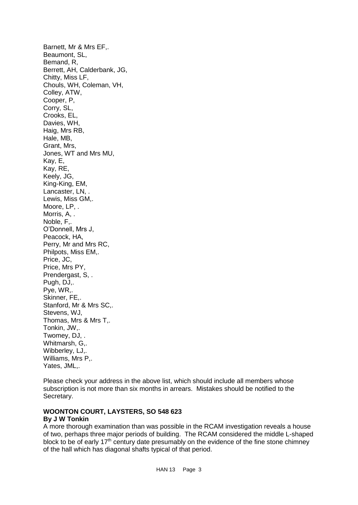Barnett, Mr & Mrs EF,. Beaumont, SL, Bemand, R, Berrett, AH, Calderbank, JG, Chitty, Miss LF, Chouls, WH, Coleman, VH, Colley, ATW, Cooper, P, Corry, SL, Crooks, EL, Davies, WH, Haig, Mrs RB, Hale, MB, Grant, Mrs, Jones, WT and Mrs MU, Kay, E, Kay, RE, Keely, JG, King-King, EM, Lancaster, LN, . Lewis, Miss GM,. Moore, LP, . Morris, A., Noble, F,. O'Donnell, Mrs J, Peacock, HA, Perry, Mr and Mrs RC, Philpots, Miss EM,. Price, JC, Price, Mrs PY, Prendergast, S, . Pugh, DJ,. Pye, WR,. Skinner, FE,. Stanford, Mr & Mrs SC,. Stevens, WJ, Thomas, Mrs & Mrs T,. Tonkin, JW,. Twomey, DJ, . Whitmarsh, G,. Wibberley, LJ,. Williams, Mrs P., Yates, JML,.

Please check your address in the above list, which should include all members whose subscription is not more than six months in arrears. Mistakes should be notified to the Secretary.

## <span id="page-3-0"></span>**WOONTON COURT, LAYSTERS, SO 548 623**

## **By J W Tonkin**

A more thorough examination than was possible in the RCAM investigation reveals a house of two, perhaps three major periods of building. The RCAM considered the middle L-shaped block to be of early 17<sup>th</sup> century date presumably on the evidence of the fine stone chimney of the hall which has diagonal shafts typical of that period.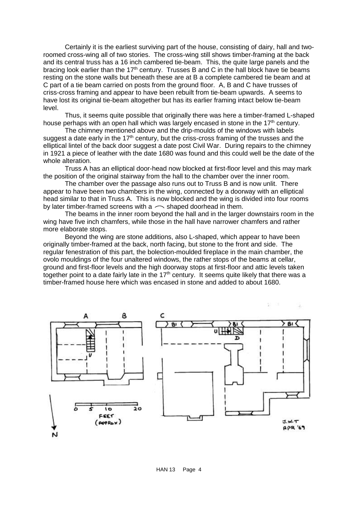Certainly it is the earliest surviving part of the house, consisting of dairy, hall and tworoomed cross-wing all of two stories. The cross-wing still shows timber-framing at the back and its central truss has a 16 inch cambered tie-beam. This, the quite large panels and the bracing look earlier than the 17<sup>th</sup> century. Trusses B and C in the hall block have tie beams resting on the stone walls but beneath these are at B a complete cambered tie beam and at C part of a tie beam carried on posts from the ground floor. A, B and C have trusses of criss-cross framing and appear to have been rebuilt from tie-beam upwards. A seems to have lost its original tie-beam altogether but has its earlier framing intact below tie-beam level.

Thus, it seems quite possible that originally there was here a timber-framed L-shaped house perhaps with an open hall which was largely encased in stone in the 17<sup>th</sup> century.

The chimney mentioned above and the drip-moulds of the windows with labels suggest a date early in the 17<sup>th</sup> century, but the criss-cross framing of the trusses and the elliptical lintel of the back door suggest a date post Civil War. During repairs to the chimney in 1921 a piece of leather with the date 1680 was found and this could well be the date of the whole alteration.

Truss A has an elliptical door-head now blocked at first-floor level and this may mark the position of the original stairway from the hall to the chamber over the inner room.

The chamber over the passage also runs out to Truss B and is now unlit. There appear to have been two chambers in the wing, connected by a doorway with an elliptical head similar to that in Truss A. This is now blocked and the wing is divided into four rooms by later timber-framed screens with a  $\frown$  shaped doorhead in them.

The beams in the inner room beyond the hall and in the larger downstairs room in the wing have five inch chamfers, while those in the hall have narrower chamfers and rather more elaborate stops.

Beyond the wing are stone additions, also L-shaped, which appear to have been originally timber-framed at the back, north facing, but stone to the front and side. The regular fenestration of this part, the bolection-moulded fireplace in the main chamber, the ovolo mouldings of the four unaltered windows, the rather stops of the beams at cellar, ground and first-floor levels and the high doorway stops at first-floor and attic levels taken together point to a date fairly late in the  $17<sup>th</sup>$  century. It seems quite likely that there was a timber-framed house here which was encased in stone and added to about 1680.

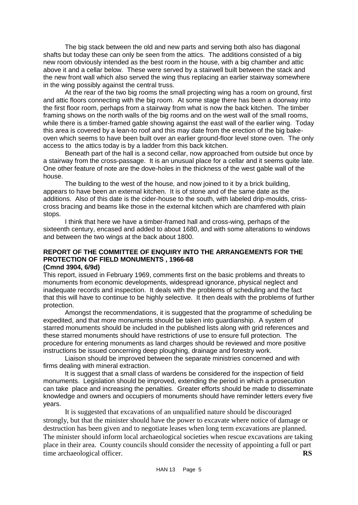The big stack between the old and new parts and serving both also has diagonal shafts but today these can only be seen from the attics. The additions consisted of a big new room obviously intended as the best room in the house, with a big chamber and attic above it and a cellar below. These were served by a stairwell built between the stack and the new front wall which also served the wing thus replacing an earlier stairway somewhere in the wing possibly against the central truss.

At the rear of the two big rooms the small projecting wing has a room on ground, first and attic floors connecting with the big room. At some stage there has been a doorway into the first floor room, perhaps from a stairway from what is now the back kitchen. The timber framing shows on the north walls of the big rooms and on the west wall of the small rooms, while there is a timber-framed gable showing against the east wall of the earlier wing. Today this area is covered by a lean-to roof and this may date from the erection of the big bakeoven which seems to have been built over an earlier ground-floor level stone oven. The only access to the attics today is by a ladder from this back kitchen.

Beneath part of the hall is a second cellar, now approached from outside but once by a stairway from the cross-passage. It is an unusual place for a cellar and it seems quite late. One other feature of note are the dove-holes in the thickness of the west gable wall of the house.

The building to the west of the house, and now joined to it by a brick building, appears to have been an external kitchen. It is of stone and of the same date as the additions. Also of this date is the cider-house to the south, with labeled drip-moulds, crisscross bracing and beams like those in the external kitchen which are chamfered with plain stops.

I think that here we have a timber-framed hall and cross-wing, perhaps of the sixteenth century, encased and added to about 1680, and with some alterations to windows and between the two wings at the back about 1800.

## <span id="page-5-0"></span>**REPORT OF THE COMMITTEE OF ENQUIRY INTO THE ARRANGEMENTS FOR THE PROTECTION OF FIELD MONUMENTS , 1966-68**

**(Cmnd 3904, 6/9d)**

This report, issued in February 1969, comments first on the basic problems and threats to monuments from economic developments, widespread ignorance, physical neglect and inadequate records and inspection. It deals with the problems of scheduling and the fact that this will have to continue to be highly selective. It then deals with the problems of further protection.

Amongst the recommendations, it is suggested that the programme of scheduling be expedited, and that more monuments should be taken into guardianship. A system of starred monuments should be included in the published lists along with grid references and these starred monuments should have restrictions of use to ensure full protection. The procedure for entering monuments as land charges should be reviewed and more positive instructions be issued concerning deep ploughing, drainage and forestry work.

Liaison should be improved between the separate ministries concerned and with firms dealing with mineral extraction.

It is suggest that a small class of wardens be considered for the inspection of field monuments. Legislation should be improved, extending the period in which a prosecution can take place and increasing the penalties. Greater efforts should be made to disseminate knowledge and owners and occupiers of monuments should have reminder letters every five years.

It is suggested that excavations of an unqualified nature should be discouraged strongly, but that the minister should have the power to excavate where notice of damage or destruction has been given and to negotiate leases when long term excavations are planned. The minister should inform local archaeological societies when rescue excavations are taking place in their area. County councils should consider the necessity of appointing a full or part time archaeological officer. **RS**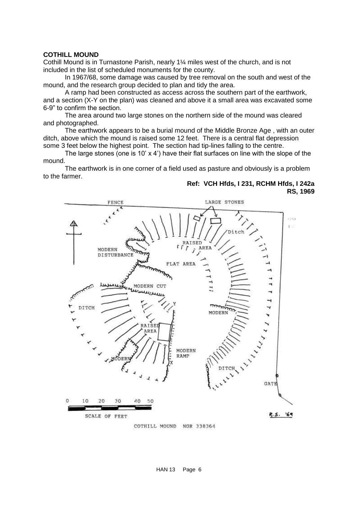#### <span id="page-6-0"></span>**COTHILL MOUND**

Cothill Mound is in Turnastone Parish, nearly 1¼ miles west of the church, and is not included in the list of scheduled monuments for the county.

In 1967/68, some damage was caused by tree removal on the south and west of the mound, and the research group decided to plan and tidy the area.

A ramp had been constructed as access across the southern part of the earthwork, and a section (X-Y on the plan) was cleaned and above it a small area was excavated some 6-9" to confirm the section.

The area around two large stones on the northern side of the mound was cleared and photographed.

The earthwork appears to be a burial mound of the Middle Bronze Age , with an outer ditch, above which the mound is raised some 12 feet. There is a central flat depression some 3 feet below the highest point. The section had tip-lines falling to the centre.

The large stones (one is 10'  $\times$  4') have their flat surfaces on line with the slope of the mound.

The earthwork is in one corner of a field used as pasture and obviously is a problem to the farmer.

## **Ref: VCH Hfds, I 231, RCHM Hfds, I 242a RS, 1969**



HAN 13 Page 6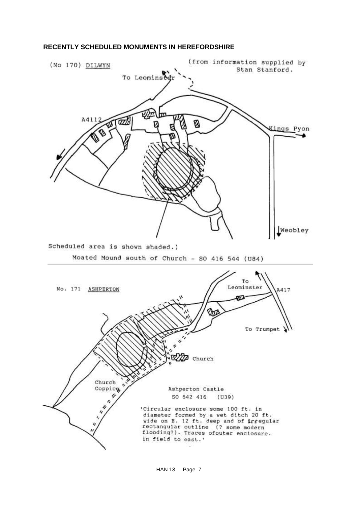#### <span id="page-7-0"></span>**RECENTLY SCHEDULED MONUMENTS IN HEREFORDSHIRE**



HAN 13 Page 7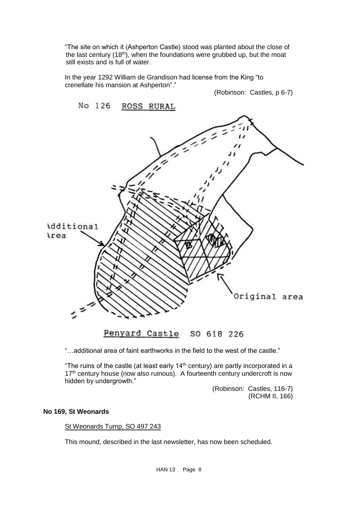"The site on which it (Ashperton Castle) stood was planted about the close of the last century  $(18<sup>th</sup>)$ , when the foundations were grubbed up, but the moat still exists and is full of water.

In the year 1292 William de Grandison had license from the King "to crenellate his mansion at Ashperton"."





"…additional area of faint earthworks in the field to the west of the castle."

"The ruins of the castle (at least early  $14<sup>th</sup>$  century) are partly incorporated in a 17<sup>th</sup> century house (now also ruinous). A fourteenth century undercroft is now hidden by undergrowth."

(Robinson: Castles, 116-7) (RCHM II, 166)

## **No 169, St Weonards**

## St Weonards Tump, SO 497 243

This mound, described in the last newsletter, has now been scheduled.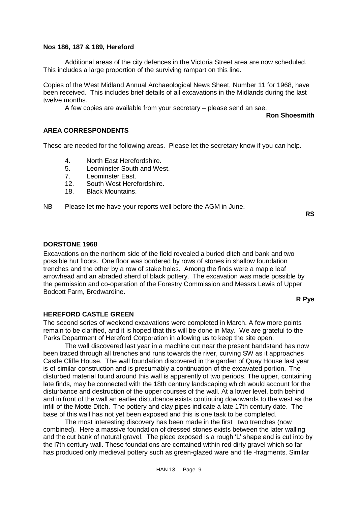#### **Nos 186, 187 & 189, Hereford**

Additional areas of the city defences in the Victoria Street area are now scheduled. This includes a large proportion of the surviving rampart on this line.

Copies of the West Midland Annual Archaeological News Sheet, Number 11 for 1968, have been received. This includes brief details of all excavations in the Midlands during the last twelve months.

A few copies are available from your secretary – please send an sae.

## **Ron Shoesmith**

## <span id="page-9-0"></span>**AREA CORRESPONDENTS**

These are needed for the following areas. Please let the secretary know if you can help.

- 4. North East Herefordshire.
- 5. Leominster South and West.
- 7. Leominster East.
- 12. South West Herefordshire.
- 18. Black Mountains.

NB Please let me have your reports well before the AGM in June.

**RS**

#### <span id="page-9-1"></span>**DORSTONE 1968**

Excavations on the northern side of the field revealed a buried ditch and bank and two possible hut floors. One floor was bordered by rows of stones in shallow foundation trenches and the other by a row of stake holes. Among the finds were a maple leaf arrowhead and an abraded sherd of black pottery. The excavation was made possible by the permission and co-operation of the Forestry Commission and Messrs Lewis of Upper Bodcott Farm, Bredwardine.

**R Pye**

## <span id="page-9-2"></span>**HEREFORD CASTLE GREEN**

The second series of weekend excavations were completed in March. A few more points remain to be clarified, and it is hoped that this will be done in May. We are grateful to the Parks Department of Hereford Corporation in allowing us to keep the site open.

The wall discovered last year in a machine cut near the present bandstand has now been traced through all trenches and runs towards the river, curving SW as it approaches Castle Cliffe House. The wall foundation discovered in the garden of Quay House last year is of similar construction and is presumably a continuation of the excavated portion. The disturbed material found around this wall is apparently of two periods. The upper, containing late finds, may be connected with the 18th century landscaping which would account for the disturbance and destruction of the upper courses of the wall. At a lower level, both behind and in front of the wall an earlier disturbance exists continuing downwards to the west as the infill of the Motte Ditch. The pottery and clay pipes indicate a late 17th century date. The base of this wall has not yet been exposed and this is one task to be completed.

The most interesting discovery has been made in the first two trenches (now combined). Here a massive foundation of dressed stones exists between the later walling and the cut bank of natural gravel. The piece exposed is a rough 'L' shape and is cut into by the l7th century wall. These foundations are contained within red dirty gravel which so far has produced only medieval pottery such as green-glazed ware and tile -fragments. Similar